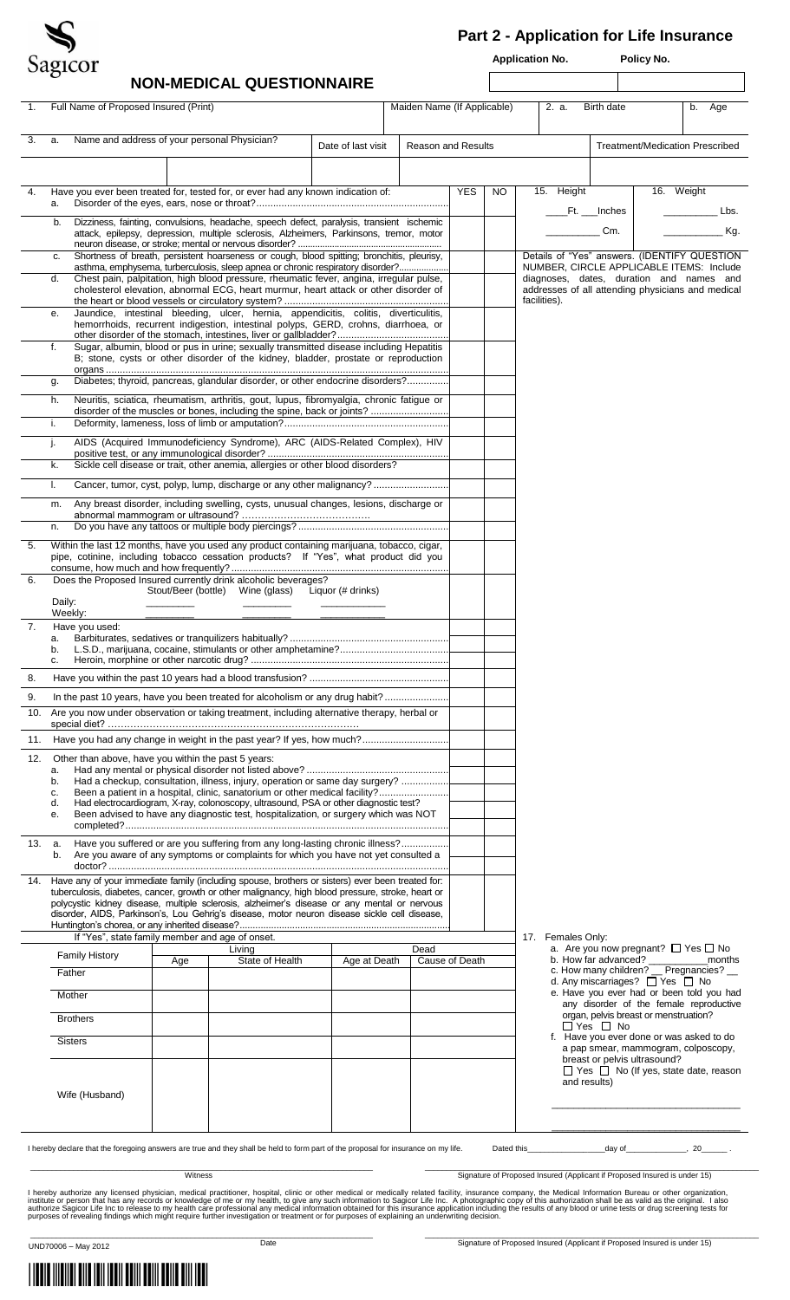

## **Part 2 - Application for Life Insurance**

**Application No. Policy No.** 

| 3.<br>a.<br>4.<br>a.<br>b.<br>c.<br>d.<br>е.<br>f.<br>g.<br>h.<br>i.<br>j.<br>k.<br>I.<br>m.<br>n.<br>5.<br>6.<br>Daily:<br>Weekly:<br>7.<br>c.<br>8. | Name and address of your personal Physician?<br>Have you ever been treated for, tested for, or ever had any known indication of:<br>Dizziness, fainting, convulsions, headache, speech defect, paralysis, transient ischemic<br>attack, epilepsy, depression, multiple sclerosis, Alzheimers, Parkinsons, tremor, motor<br>Shortness of breath, persistent hoarseness or cough, blood spitting; bronchitis, pleurisy,<br>asthma, emphysema, turberculosis, sleep apnea or chronic respiratory disorder?<br>Chest pain, palpitation, high blood pressure, rheumatic fever, angina, irregular pulse,<br>cholesterol elevation, abnormal ECG, heart murmur, heart attack or other disorder of<br>Jaundice, intestinal bleeding, ulcer, hernia, appendicitis, colitis, diverticulitis,<br>hemorrhoids, recurrent indigestion, intestinal polyps, GERD, crohns, diarrhoea, or<br>Sugar, albumin, blood or pus in urine; sexually transmitted disease including Hepatitis<br>B; stone, cysts or other disorder of the kidney, bladder, prostate or reproduction<br>Diabetes; thyroid, pancreas, glandular disorder, or other endocrine disorders?<br>Neuritis, sciatica, rheumatism, arthritis, gout, lupus, fibromyalgia, chronic fatigue or<br>disorder of the muscles or bones, including the spine, back or joints?<br>AIDS (Acquired Immunodeficiency Syndrome), ARC (AIDS-Related Complex), HIV<br>Sickle cell disease or trait, other anemia, allergies or other blood disorders?<br>Cancer, tumor, cyst, polyp, lump, discharge or any other malignancy?<br>Any breast disorder, including swelling, cysts, unusual changes, lesions, discharge or<br>Within the last 12 months, have you used any product containing marijuana, tobacco, cigar,<br>pipe, cotinine, including tobacco cessation products? If "Yes", what product did you<br>Does the Proposed Insured currently drink alcoholic beverages?<br>Have you used: |     | Stout/Beer (bottle) Wine (glass) Liquor (# drinks) | Date of last visit | <b>Reason and Results</b> | <b>YES</b> | NO. | facilities). | 15. Height        | Ft. ___Inches<br>Cm. | <b>Treatment/Medication Prescribed</b><br>16. Weight<br>Details of "Yes" answers. (IDENTIFY QUESTION<br>NUMBER, CIRCLE APPLICABLE ITEMS: Include<br>diagnoses, dates, duration and names and<br>addresses of all attending physicians and medical | Lbs.<br>Kg. |
|-------------------------------------------------------------------------------------------------------------------------------------------------------|--------------------------------------------------------------------------------------------------------------------------------------------------------------------------------------------------------------------------------------------------------------------------------------------------------------------------------------------------------------------------------------------------------------------------------------------------------------------------------------------------------------------------------------------------------------------------------------------------------------------------------------------------------------------------------------------------------------------------------------------------------------------------------------------------------------------------------------------------------------------------------------------------------------------------------------------------------------------------------------------------------------------------------------------------------------------------------------------------------------------------------------------------------------------------------------------------------------------------------------------------------------------------------------------------------------------------------------------------------------------------------------------------------------------------------------------------------------------------------------------------------------------------------------------------------------------------------------------------------------------------------------------------------------------------------------------------------------------------------------------------------------------------------------------------------------------------------------------------------------------------------------------------------------------------------|-----|----------------------------------------------------|--------------------|---------------------------|------------|-----|--------------|-------------------|----------------------|---------------------------------------------------------------------------------------------------------------------------------------------------------------------------------------------------------------------------------------------------|-------------|
|                                                                                                                                                       |                                                                                                                                                                                                                                                                                                                                                                                                                                                                                                                                                                                                                                                                                                                                                                                                                                                                                                                                                                                                                                                                                                                                                                                                                                                                                                                                                                                                                                                                                                                                                                                                                                                                                                                                                                                                                                                                                                                                |     |                                                    |                    |                           |            |     |              |                   |                      |                                                                                                                                                                                                                                                   |             |
|                                                                                                                                                       |                                                                                                                                                                                                                                                                                                                                                                                                                                                                                                                                                                                                                                                                                                                                                                                                                                                                                                                                                                                                                                                                                                                                                                                                                                                                                                                                                                                                                                                                                                                                                                                                                                                                                                                                                                                                                                                                                                                                |     |                                                    |                    |                           |            |     |              |                   |                      |                                                                                                                                                                                                                                                   |             |
|                                                                                                                                                       |                                                                                                                                                                                                                                                                                                                                                                                                                                                                                                                                                                                                                                                                                                                                                                                                                                                                                                                                                                                                                                                                                                                                                                                                                                                                                                                                                                                                                                                                                                                                                                                                                                                                                                                                                                                                                                                                                                                                |     |                                                    |                    |                           |            |     |              |                   |                      |                                                                                                                                                                                                                                                   |             |
|                                                                                                                                                       |                                                                                                                                                                                                                                                                                                                                                                                                                                                                                                                                                                                                                                                                                                                                                                                                                                                                                                                                                                                                                                                                                                                                                                                                                                                                                                                                                                                                                                                                                                                                                                                                                                                                                                                                                                                                                                                                                                                                |     |                                                    |                    |                           |            |     |              |                   |                      |                                                                                                                                                                                                                                                   |             |
|                                                                                                                                                       |                                                                                                                                                                                                                                                                                                                                                                                                                                                                                                                                                                                                                                                                                                                                                                                                                                                                                                                                                                                                                                                                                                                                                                                                                                                                                                                                                                                                                                                                                                                                                                                                                                                                                                                                                                                                                                                                                                                                |     |                                                    |                    |                           |            |     |              |                   |                      |                                                                                                                                                                                                                                                   |             |
|                                                                                                                                                       |                                                                                                                                                                                                                                                                                                                                                                                                                                                                                                                                                                                                                                                                                                                                                                                                                                                                                                                                                                                                                                                                                                                                                                                                                                                                                                                                                                                                                                                                                                                                                                                                                                                                                                                                                                                                                                                                                                                                |     |                                                    |                    |                           |            |     |              |                   |                      |                                                                                                                                                                                                                                                   |             |
|                                                                                                                                                       |                                                                                                                                                                                                                                                                                                                                                                                                                                                                                                                                                                                                                                                                                                                                                                                                                                                                                                                                                                                                                                                                                                                                                                                                                                                                                                                                                                                                                                                                                                                                                                                                                                                                                                                                                                                                                                                                                                                                |     |                                                    |                    |                           |            |     |              |                   |                      |                                                                                                                                                                                                                                                   |             |
|                                                                                                                                                       |                                                                                                                                                                                                                                                                                                                                                                                                                                                                                                                                                                                                                                                                                                                                                                                                                                                                                                                                                                                                                                                                                                                                                                                                                                                                                                                                                                                                                                                                                                                                                                                                                                                                                                                                                                                                                                                                                                                                |     |                                                    |                    |                           |            |     |              |                   |                      |                                                                                                                                                                                                                                                   |             |
|                                                                                                                                                       |                                                                                                                                                                                                                                                                                                                                                                                                                                                                                                                                                                                                                                                                                                                                                                                                                                                                                                                                                                                                                                                                                                                                                                                                                                                                                                                                                                                                                                                                                                                                                                                                                                                                                                                                                                                                                                                                                                                                |     |                                                    |                    |                           |            |     |              |                   |                      |                                                                                                                                                                                                                                                   |             |
|                                                                                                                                                       |                                                                                                                                                                                                                                                                                                                                                                                                                                                                                                                                                                                                                                                                                                                                                                                                                                                                                                                                                                                                                                                                                                                                                                                                                                                                                                                                                                                                                                                                                                                                                                                                                                                                                                                                                                                                                                                                                                                                |     |                                                    |                    |                           |            |     |              |                   |                      |                                                                                                                                                                                                                                                   |             |
|                                                                                                                                                       |                                                                                                                                                                                                                                                                                                                                                                                                                                                                                                                                                                                                                                                                                                                                                                                                                                                                                                                                                                                                                                                                                                                                                                                                                                                                                                                                                                                                                                                                                                                                                                                                                                                                                                                                                                                                                                                                                                                                |     |                                                    |                    |                           |            |     |              |                   |                      |                                                                                                                                                                                                                                                   |             |
|                                                                                                                                                       |                                                                                                                                                                                                                                                                                                                                                                                                                                                                                                                                                                                                                                                                                                                                                                                                                                                                                                                                                                                                                                                                                                                                                                                                                                                                                                                                                                                                                                                                                                                                                                                                                                                                                                                                                                                                                                                                                                                                |     |                                                    |                    |                           |            |     |              |                   |                      |                                                                                                                                                                                                                                                   |             |
|                                                                                                                                                       |                                                                                                                                                                                                                                                                                                                                                                                                                                                                                                                                                                                                                                                                                                                                                                                                                                                                                                                                                                                                                                                                                                                                                                                                                                                                                                                                                                                                                                                                                                                                                                                                                                                                                                                                                                                                                                                                                                                                |     |                                                    |                    |                           |            |     |              |                   |                      |                                                                                                                                                                                                                                                   |             |
|                                                                                                                                                       |                                                                                                                                                                                                                                                                                                                                                                                                                                                                                                                                                                                                                                                                                                                                                                                                                                                                                                                                                                                                                                                                                                                                                                                                                                                                                                                                                                                                                                                                                                                                                                                                                                                                                                                                                                                                                                                                                                                                |     |                                                    |                    |                           |            |     |              |                   |                      |                                                                                                                                                                                                                                                   |             |
|                                                                                                                                                       |                                                                                                                                                                                                                                                                                                                                                                                                                                                                                                                                                                                                                                                                                                                                                                                                                                                                                                                                                                                                                                                                                                                                                                                                                                                                                                                                                                                                                                                                                                                                                                                                                                                                                                                                                                                                                                                                                                                                |     |                                                    |                    |                           |            |     |              |                   |                      |                                                                                                                                                                                                                                                   |             |
|                                                                                                                                                       |                                                                                                                                                                                                                                                                                                                                                                                                                                                                                                                                                                                                                                                                                                                                                                                                                                                                                                                                                                                                                                                                                                                                                                                                                                                                                                                                                                                                                                                                                                                                                                                                                                                                                                                                                                                                                                                                                                                                |     |                                                    |                    |                           |            |     |              |                   |                      |                                                                                                                                                                                                                                                   |             |
|                                                                                                                                                       |                                                                                                                                                                                                                                                                                                                                                                                                                                                                                                                                                                                                                                                                                                                                                                                                                                                                                                                                                                                                                                                                                                                                                                                                                                                                                                                                                                                                                                                                                                                                                                                                                                                                                                                                                                                                                                                                                                                                |     |                                                    |                    |                           |            |     |              |                   |                      |                                                                                                                                                                                                                                                   |             |
|                                                                                                                                                       |                                                                                                                                                                                                                                                                                                                                                                                                                                                                                                                                                                                                                                                                                                                                                                                                                                                                                                                                                                                                                                                                                                                                                                                                                                                                                                                                                                                                                                                                                                                                                                                                                                                                                                                                                                                                                                                                                                                                |     |                                                    |                    |                           |            |     |              |                   |                      |                                                                                                                                                                                                                                                   |             |
|                                                                                                                                                       |                                                                                                                                                                                                                                                                                                                                                                                                                                                                                                                                                                                                                                                                                                                                                                                                                                                                                                                                                                                                                                                                                                                                                                                                                                                                                                                                                                                                                                                                                                                                                                                                                                                                                                                                                                                                                                                                                                                                |     |                                                    |                    |                           |            |     |              |                   |                      |                                                                                                                                                                                                                                                   |             |
|                                                                                                                                                       |                                                                                                                                                                                                                                                                                                                                                                                                                                                                                                                                                                                                                                                                                                                                                                                                                                                                                                                                                                                                                                                                                                                                                                                                                                                                                                                                                                                                                                                                                                                                                                                                                                                                                                                                                                                                                                                                                                                                |     |                                                    |                    |                           |            |     |              |                   |                      |                                                                                                                                                                                                                                                   |             |
|                                                                                                                                                       |                                                                                                                                                                                                                                                                                                                                                                                                                                                                                                                                                                                                                                                                                                                                                                                                                                                                                                                                                                                                                                                                                                                                                                                                                                                                                                                                                                                                                                                                                                                                                                                                                                                                                                                                                                                                                                                                                                                                |     |                                                    |                    |                           |            |     |              |                   |                      |                                                                                                                                                                                                                                                   |             |
| 9.<br>10.                                                                                                                                             | In the past 10 years, have you been treated for alcoholism or any drug habit?<br>Are you now under observation or taking treatment, including alternative therapy, herbal or                                                                                                                                                                                                                                                                                                                                                                                                                                                                                                                                                                                                                                                                                                                                                                                                                                                                                                                                                                                                                                                                                                                                                                                                                                                                                                                                                                                                                                                                                                                                                                                                                                                                                                                                                   |     |                                                    |                    |                           |            |     |              |                   |                      |                                                                                                                                                                                                                                                   |             |
|                                                                                                                                                       | 11. Have you had any change in weight in the past year? If yes, how much?                                                                                                                                                                                                                                                                                                                                                                                                                                                                                                                                                                                                                                                                                                                                                                                                                                                                                                                                                                                                                                                                                                                                                                                                                                                                                                                                                                                                                                                                                                                                                                                                                                                                                                                                                                                                                                                      |     |                                                    |                    |                           |            |     |              |                   |                      |                                                                                                                                                                                                                                                   |             |
| 12.                                                                                                                                                   | Other than above, have you within the past 5 years:                                                                                                                                                                                                                                                                                                                                                                                                                                                                                                                                                                                                                                                                                                                                                                                                                                                                                                                                                                                                                                                                                                                                                                                                                                                                                                                                                                                                                                                                                                                                                                                                                                                                                                                                                                                                                                                                            |     |                                                    |                    |                           |            |     |              |                   |                      |                                                                                                                                                                                                                                                   |             |
| a.<br>b.                                                                                                                                              | Had a checkup, consultation, illness, injury, operation or same day surgery?                                                                                                                                                                                                                                                                                                                                                                                                                                                                                                                                                                                                                                                                                                                                                                                                                                                                                                                                                                                                                                                                                                                                                                                                                                                                                                                                                                                                                                                                                                                                                                                                                                                                                                                                                                                                                                                   |     |                                                    |                    |                           |            |     |              |                   |                      |                                                                                                                                                                                                                                                   |             |
| c.                                                                                                                                                    | Been a patient in a hospital, clinic, sanatorium or other medical facility?                                                                                                                                                                                                                                                                                                                                                                                                                                                                                                                                                                                                                                                                                                                                                                                                                                                                                                                                                                                                                                                                                                                                                                                                                                                                                                                                                                                                                                                                                                                                                                                                                                                                                                                                                                                                                                                    |     |                                                    |                    |                           |            |     |              |                   |                      |                                                                                                                                                                                                                                                   |             |
| d.<br>е.                                                                                                                                              | Had electrocardiogram, X-ray, colonoscopy, ultrasound, PSA or other diagnostic test?<br>Been advised to have any diagnostic test, hospitalization, or surgery which was NOT                                                                                                                                                                                                                                                                                                                                                                                                                                                                                                                                                                                                                                                                                                                                                                                                                                                                                                                                                                                                                                                                                                                                                                                                                                                                                                                                                                                                                                                                                                                                                                                                                                                                                                                                                    |     |                                                    |                    |                           |            |     |              |                   |                      |                                                                                                                                                                                                                                                   |             |
| 13. a.<br>b.                                                                                                                                          | Have you suffered or are you suffering from any long-lasting chronic illness?<br>Are you aware of any symptoms or complaints for which you have not yet consulted a                                                                                                                                                                                                                                                                                                                                                                                                                                                                                                                                                                                                                                                                                                                                                                                                                                                                                                                                                                                                                                                                                                                                                                                                                                                                                                                                                                                                                                                                                                                                                                                                                                                                                                                                                            |     |                                                    |                    |                           |            |     |              |                   |                      |                                                                                                                                                                                                                                                   |             |
| 14.                                                                                                                                                   | Have any of your immediate family (including spouse, brothers or sisters) ever been treated for:<br>tuberculosis, diabetes, cancer, growth or other malignancy, high blood pressure, stroke, heart or                                                                                                                                                                                                                                                                                                                                                                                                                                                                                                                                                                                                                                                                                                                                                                                                                                                                                                                                                                                                                                                                                                                                                                                                                                                                                                                                                                                                                                                                                                                                                                                                                                                                                                                          |     |                                                    |                    |                           |            |     |              |                   |                      |                                                                                                                                                                                                                                                   |             |
|                                                                                                                                                       | polycystic kidney disease, multiple sclerosis, alzheimer's disease or any mental or nervous<br>disorder, AIDS, Parkinson's, Lou Gehrig's disease, motor neuron disease sickle cell disease,                                                                                                                                                                                                                                                                                                                                                                                                                                                                                                                                                                                                                                                                                                                                                                                                                                                                                                                                                                                                                                                                                                                                                                                                                                                                                                                                                                                                                                                                                                                                                                                                                                                                                                                                    |     |                                                    |                    |                           |            |     |              |                   |                      |                                                                                                                                                                                                                                                   |             |
|                                                                                                                                                       | If "Yes", state family member and age of onset.<br><b>Family History</b>                                                                                                                                                                                                                                                                                                                                                                                                                                                                                                                                                                                                                                                                                                                                                                                                                                                                                                                                                                                                                                                                                                                                                                                                                                                                                                                                                                                                                                                                                                                                                                                                                                                                                                                                                                                                                                                       |     | Living                                             |                    | Dead                      |            |     |              | 17. Females Only: |                      | a. Are you now pregnant? $\Box$ Yes $\Box$ No                                                                                                                                                                                                     |             |
| Father                                                                                                                                                |                                                                                                                                                                                                                                                                                                                                                                                                                                                                                                                                                                                                                                                                                                                                                                                                                                                                                                                                                                                                                                                                                                                                                                                                                                                                                                                                                                                                                                                                                                                                                                                                                                                                                                                                                                                                                                                                                                                                | Age | State of Health                                    | Age at Death       | Cause of Death            |            |     |              |                   |                      | b. How far advanced?<br>c. How many children? _ Pregnancies? _                                                                                                                                                                                    | months      |
| Mother                                                                                                                                                |                                                                                                                                                                                                                                                                                                                                                                                                                                                                                                                                                                                                                                                                                                                                                                                                                                                                                                                                                                                                                                                                                                                                                                                                                                                                                                                                                                                                                                                                                                                                                                                                                                                                                                                                                                                                                                                                                                                                |     |                                                    |                    |                           |            |     |              |                   |                      | d. Any miscarriages? □ Yes □ No<br>e. Have you ever had or been told you had                                                                                                                                                                      |             |
|                                                                                                                                                       | <b>Brothers</b>                                                                                                                                                                                                                                                                                                                                                                                                                                                                                                                                                                                                                                                                                                                                                                                                                                                                                                                                                                                                                                                                                                                                                                                                                                                                                                                                                                                                                                                                                                                                                                                                                                                                                                                                                                                                                                                                                                                |     |                                                    |                    |                           |            |     |              |                   | $\Box$ Yes $\Box$ No | any disorder of the female reproductive<br>organ, pelvis breast or menstruation?                                                                                                                                                                  |             |
| <b>Sisters</b>                                                                                                                                        |                                                                                                                                                                                                                                                                                                                                                                                                                                                                                                                                                                                                                                                                                                                                                                                                                                                                                                                                                                                                                                                                                                                                                                                                                                                                                                                                                                                                                                                                                                                                                                                                                                                                                                                                                                                                                                                                                                                                |     |                                                    |                    |                           |            |     |              |                   |                      | f. Have you ever done or was asked to do<br>a pap smear, mammogram, colposcopy,<br>breast or pelvis ultrasound?                                                                                                                                   |             |
|                                                                                                                                                       | Wife (Husband)                                                                                                                                                                                                                                                                                                                                                                                                                                                                                                                                                                                                                                                                                                                                                                                                                                                                                                                                                                                                                                                                                                                                                                                                                                                                                                                                                                                                                                                                                                                                                                                                                                                                                                                                                                                                                                                                                                                 |     |                                                    |                    |                           |            |     |              |                   | and results)         | $\Box$ Yes $\Box$ No (If yes, state date, reason                                                                                                                                                                                                  |             |

I hereby authorize any licensed physician, medical practitioner, hospital, clinic or other medical or medically related facility, insurance company, the Medical Information Bureau or other organization,<br>austrute or person